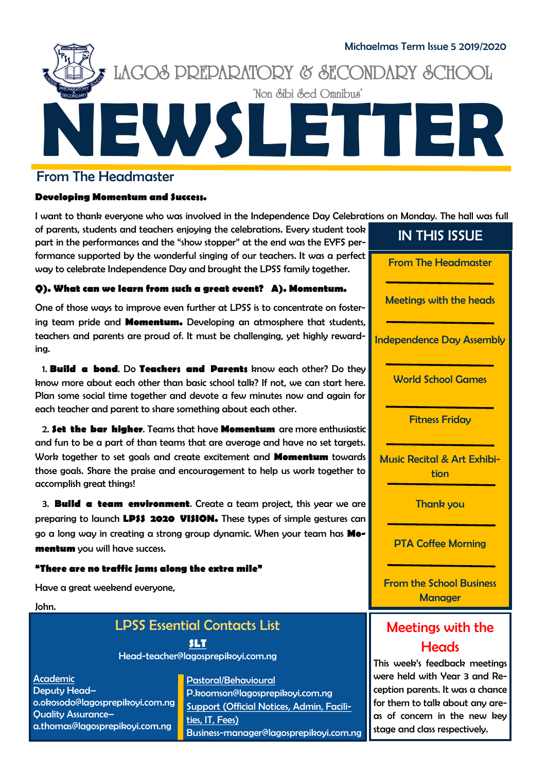

**NEWSLETTER** LAGOS PREPARATORY & SECONDARY SCHO 'Non Sibi Sed Omnibus'

### From The Headmaster

#### **Developing Momentum and Success.**

I want to thank everyone who was involved in the Independence Day Celebrations on Monday. The hall was full

of parents, students and teachers enjoying the celebrations. Every student to part in the performances and the "show stopper" at the end was the EYFS performance supported by the wonderful singing of our teachers. It was a perfe way to celebrate Independence Day and brought the LPSS family together.

#### **Q). What can we learn from such a great event? A). Momentum.**

One of those ways to improve even further at LPSS is to concentrate on fostering team pride and **Momentum.** Developing an atmosphere that studen teachers and parents are proud of. It must be challenging, yet highly reward ing.

1. Build a bond. Do Teachers and Parents know each other? Do th know more about each other than basic school talk? If not, we can start here. Plan some social time together and devote a few minutes now and again for each teacher and parent to share something about each other.

2. **Set the bar higher**. Teams that have **Momentum** are more enthusias and fun to be a part of than teams that are average and have no set target Work together to set goals and create excitement and **Momentum** towar those goals. Share the praise and encouragement to help us work together accomplish great things!

3. **Build a team environment**. Create a team project, this year we a preparing to launch **LP\$\$ 2020 VI\$ION.** These types of simple gestures can go a long way in creating a strong group dynamic. When your team has **M mentum** you will have success.

#### **"There are no traffic jams along the extra mile"**

Have a great weekend everyone,

### LPSS Essential Contacts List

**SLT**

Head-teacher@lagosprepikoyi.com.ng

Academic Deputy Head– o.okosodo@lagosprepikoyi.com.ng Quality Assurance– a.thomas@lagosprepikoyi.com.ng

Pastoral/Behavioural P.koomson@lagosprepikoyi.com.ng Support (Official Notices, Admin, Facilities, IT, Fees) Business-manager@lagosprepikoyi.com.ng

| ok<br>er-        | <b>IN THIS ISSUE</b>                                                                                                                                                           |  |  |
|------------------|--------------------------------------------------------------------------------------------------------------------------------------------------------------------------------|--|--|
| ect              | <b>From The Headmaster</b>                                                                                                                                                     |  |  |
| er-              | <b>Meetings with the heads</b>                                                                                                                                                 |  |  |
| ıts,<br>d-       | <b>Independence Day Assembly</b>                                                                                                                                               |  |  |
| ey<br>re.<br>for | <b>World School Games</b>                                                                                                                                                      |  |  |
| stic<br>ets.     | <b>Fitness Friday</b>                                                                                                                                                          |  |  |
| rds<br>to        | <b>Music Recital &amp; Art Exhibi-</b><br>tion                                                                                                                                 |  |  |
| <b>are</b><br>an | <b>Thank you</b>                                                                                                                                                               |  |  |
| $\bullet$        | <b>PTA Coffee Morning</b>                                                                                                                                                      |  |  |
|                  | <b>From the School Business</b><br><b>Manager</b>                                                                                                                              |  |  |
|                  | Meetings with the                                                                                                                                                              |  |  |
|                  | Heads<br>This week's feedback meetings<br>were held with Year 3 and Re-<br>ception parents. It was a chance<br>for them to talk about any are-<br>as of concern in the new key |  |  |

stage and class respectively.